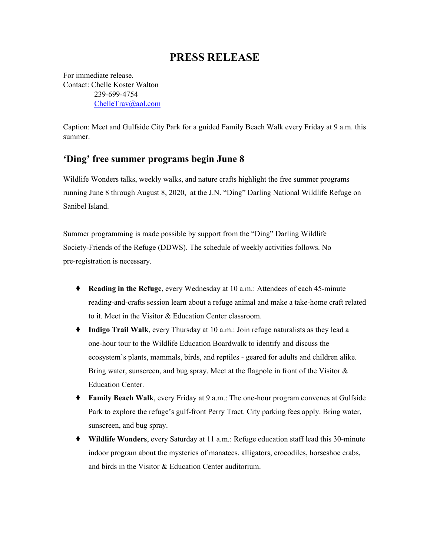## **PRESS RELEASE**

For immediate release. Contact: Chelle Koster Walton 239-699-4754 [ChelleTrav@aol.com](mailto:ChelleTrav@aol.com)

Caption: Meet and Gulfside City Park for a guided Family Beach Walk every Friday at 9 a.m. this summer.

## **'Ding' free summer programs begin June 8**

Wildlife Wonders talks, weekly walks, and nature crafts highlight the free summer programs running June 8 through August 8, 2020, at the J.N. "Ding" Darling National Wildlife Refuge on Sanibel Island.

Summer programming is made possible by support from the "Ding" Darling Wildlife Society-Friends of the Refuge (DDWS). The schedule of weekly activities follows. No pre-registration is necessary.

- ⧫ **Reading in the Refuge**, every Wednesday at 10 a.m.: Attendees of each 45-minute reading-and-crafts session learn about a refuge animal and make a take-home craft related to it. Meet in the Visitor & Education Center classroom.
- ⧫ **Indigo Trail Walk**, every Thursday at 10 a.m.: Join refuge naturalists as they lead a one-hour tour to the Wildlife Education Boardwalk to identify and discuss the ecosystem's plants, mammals, birds, and reptiles - geared for adults and children alike. Bring water, sunscreen, and bug spray. Meet at the flagpole in front of the Visitor & Education Center.
- ⧫ **Family Beach Walk**, every Friday at 9 a.m.: The one-hour program convenes at Gulfside Park to explore the refuge's gulf-front Perry Tract. City parking fees apply. Bring water, sunscreen, and bug spray.
- ⧫ **Wildlife Wonders**, every Saturday at 11 a.m.: Refuge education staff lead this 30-minute indoor program about the mysteries of manatees, alligators, crocodiles, horseshoe crabs, and birds in the Visitor & Education Center auditorium.